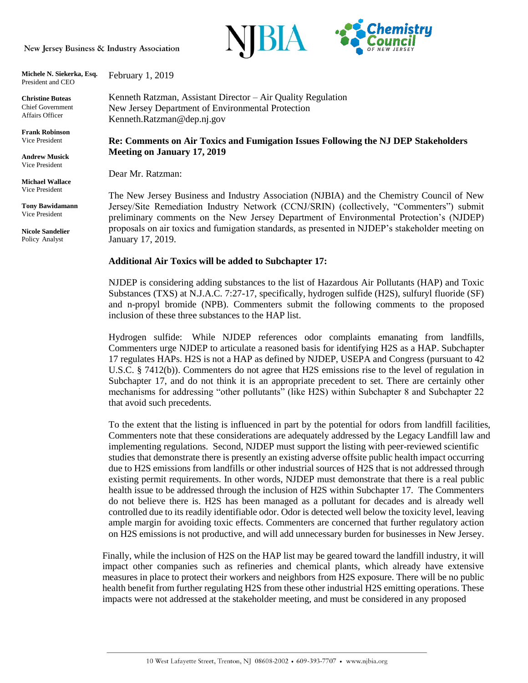New Jersey Business & Industry Association



**Michele N. Siekerka, Esq.** President and CEO February 1, 2019

**Christine Buteas** Chief Government Affairs Officer

**Frank Robinson** Vice President

**Andrew Musick** Vice President

**Michael Wallace** Vice President

**Tony Bawidamann** Vice President

**Nicole Sandelier**  Policy Analyst

Kenneth Ratzman, Assistant Director – Air Quality Regulation New Jersey Department of Environmental Protection Kenneth.Ratzman@dep.nj.gov

**Re: Comments on Air Toxics and Fumigation Issues Following the NJ DEP Stakeholders Meeting on January 17, 2019**

Dear Mr. Ratzman:

The New Jersey Business and Industry Association (NJBIA) and the Chemistry Council of New Jersey/Site Remediation Industry Network (CCNJ/SRIN) (collectively, "Commenters") submit preliminary comments on the New Jersey Department of Environmental Protection's (NJDEP) proposals on air toxics and fumigation standards, as presented in NJDEP's stakeholder meeting on January 17, 2019.

## **Additional Air Toxics will be added to Subchapter 17:**

NJDEP is considering adding substances to the list of Hazardous Air Pollutants (HAP) and Toxic Substances (TXS) at N.J.A.C. 7:27-17, specifically, hydrogen sulfide (H2S), sulfuryl fluoride (SF) and n-propyl bromide (NPB). Commenters submit the following comments to the proposed inclusion of these three substances to the HAP list.

Hydrogen sulfide: While NJDEP references odor complaints emanating from landfills, Commenters urge NJDEP to articulate a reasoned basis for identifying H2S as a HAP. Subchapter 17 regulates HAPs. H2S is not a HAP as defined by NJDEP, USEPA and Congress (pursuant to 42 U.S.C. § 7412(b)). Commenters do not agree that H2S emissions rise to the level of regulation in Subchapter 17, and do not think it is an appropriate precedent to set. There are certainly other mechanisms for addressing "other pollutants" (like H2S) within Subchapter 8 and Subchapter 22 that avoid such precedents.

To the extent that the listing is influenced in part by the potential for odors from landfill facilities, Commenters note that these considerations are adequately addressed by the Legacy Landfill law and implementing regulations. Second, NJDEP must support the listing with peer-reviewed scientific studies that demonstrate there is presently an existing adverse offsite public health impact occurring due to H2S emissions from landfills or other industrial sources of H2S that is not addressed through existing permit requirements. In other words, NJDEP must demonstrate that there is a real public health issue to be addressed through the inclusion of H2S within Subchapter 17. The Commenters do not believe there is. H2S has been managed as a pollutant for decades and is already well controlled due to its readily identifiable odor. Odor is detected well below the toxicity level, leaving ample margin for avoiding toxic effects. Commenters are concerned that further regulatory action on H2S emissions is not productive, and will add unnecessary burden for businesses in New Jersey.

Finally, while the inclusion of H2S on the HAP list may be geared toward the landfill industry, it will impact other companies such as refineries and chemical plants, which already have extensive measures in place to protect their workers and neighbors from H2S exposure. There will be no public health benefit from further regulating H2S from these other industrial H2S emitting operations. These impacts were not addressed at the stakeholder meeting, and must be considered in any proposed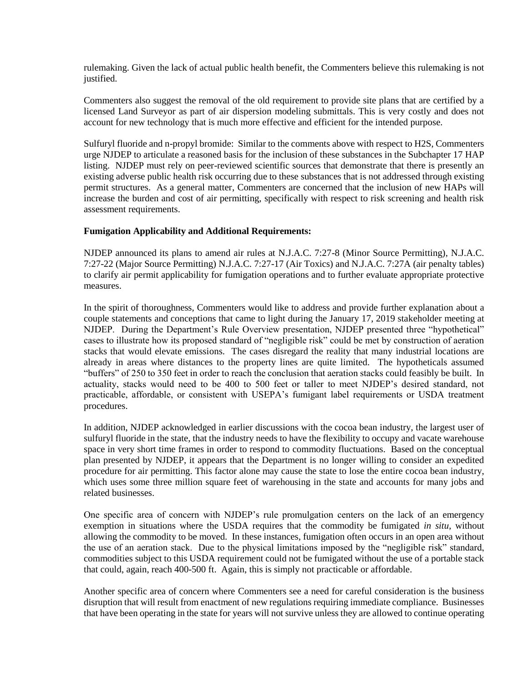rulemaking. Given the lack of actual public health benefit, the Commenters believe this rulemaking is not justified.

Commenters also suggest the removal of the old requirement to provide site plans that are certified by a licensed Land Surveyor as part of air dispersion modeling submittals. This is very costly and does not account for new technology that is much more effective and efficient for the intended purpose.

Sulfuryl fluoride and n-propyl bromide: Similar to the comments above with respect to H2S, Commenters urge NJDEP to articulate a reasoned basis for the inclusion of these substances in the Subchapter 17 HAP listing. NJDEP must rely on peer-reviewed scientific sources that demonstrate that there is presently an existing adverse public health risk occurring due to these substances that is not addressed through existing permit structures. As a general matter, Commenters are concerned that the inclusion of new HAPs will increase the burden and cost of air permitting, specifically with respect to risk screening and health risk assessment requirements.

## **Fumigation Applicability and Additional Requirements:**

NJDEP announced its plans to amend air rules at N.J.A.C. 7:27-8 (Minor Source Permitting), N.J.A.C. 7:27-22 (Major Source Permitting) N.J.A.C. 7:27-17 (Air Toxics) and N.J.A.C. 7:27A (air penalty tables) to clarify air permit applicability for fumigation operations and to further evaluate appropriate protective measures.

In the spirit of thoroughness, Commenters would like to address and provide further explanation about a couple statements and conceptions that came to light during the January 17, 2019 stakeholder meeting at NJDEP. During the Department's Rule Overview presentation, NJDEP presented three "hypothetical" cases to illustrate how its proposed standard of "negligible risk" could be met by construction of aeration stacks that would elevate emissions. The cases disregard the reality that many industrial locations are already in areas where distances to the property lines are quite limited. The hypotheticals assumed "buffers" of 250 to 350 feet in order to reach the conclusion that aeration stacks could feasibly be built. In actuality, stacks would need to be 400 to 500 feet or taller to meet NJDEP's desired standard, not practicable, affordable, or consistent with USEPA's fumigant label requirements or USDA treatment procedures.

In addition, NJDEP acknowledged in earlier discussions with the cocoa bean industry, the largest user of sulfuryl fluoride in the state, that the industry needs to have the flexibility to occupy and vacate warehouse space in very short time frames in order to respond to commodity fluctuations. Based on the conceptual plan presented by NJDEP, it appears that the Department is no longer willing to consider an expedited procedure for air permitting. This factor alone may cause the state to lose the entire cocoa bean industry, which uses some three million square feet of warehousing in the state and accounts for many jobs and related businesses.

One specific area of concern with NJDEP's rule promulgation centers on the lack of an emergency exemption in situations where the USDA requires that the commodity be fumigated *in situ*, without allowing the commodity to be moved. In these instances, fumigation often occurs in an open area without the use of an aeration stack. Due to the physical limitations imposed by the "negligible risk" standard, commodities subject to this USDA requirement could not be fumigated without the use of a portable stack that could, again, reach 400-500 ft. Again, this is simply not practicable or affordable.

Another specific area of concern where Commenters see a need for careful consideration is the business disruption that will result from enactment of new regulations requiring immediate compliance. Businesses that have been operating in the state for years will not survive unless they are allowed to continue operating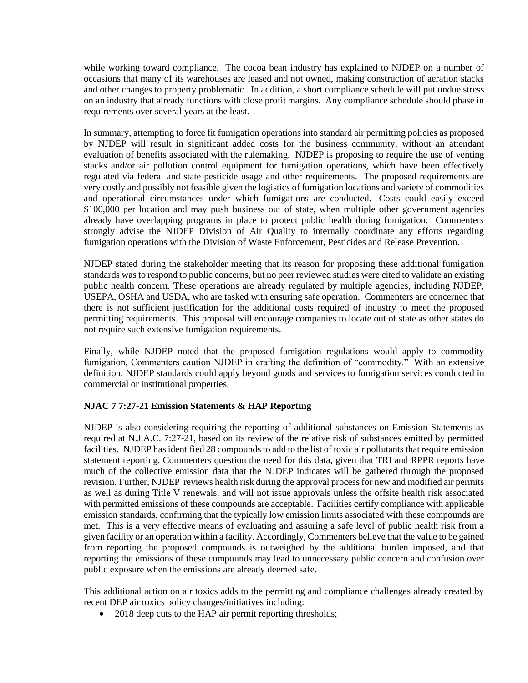while working toward compliance. The cocoa bean industry has explained to NJDEP on a number of occasions that many of its warehouses are leased and not owned, making construction of aeration stacks and other changes to property problematic. In addition, a short compliance schedule will put undue stress on an industry that already functions with close profit margins. Any compliance schedule should phase in requirements over several years at the least.

In summary, attempting to force fit fumigation operations into standard air permitting policies as proposed by NJDEP will result in significant added costs for the business community, without an attendant evaluation of benefits associated with the rulemaking. NJDEP is proposing to require the use of venting stacks and/or air pollution control equipment for fumigation operations, which have been effectively regulated via federal and state pesticide usage and other requirements. The proposed requirements are very costly and possibly not feasible given the logistics of fumigation locations and variety of commodities and operational circumstances under which fumigations are conducted. Costs could easily exceed \$100,000 per location and may push business out of state, when multiple other government agencies already have overlapping programs in place to protect public health during fumigation. Commenters strongly advise the NJDEP Division of Air Quality to internally coordinate any efforts regarding fumigation operations with the Division of Waste Enforcement, Pesticides and Release Prevention.

NJDEP stated during the stakeholder meeting that its reason for proposing these additional fumigation standards was to respond to public concerns, but no peer reviewed studies were cited to validate an existing public health concern. These operations are already regulated by multiple agencies, including NJDEP, USEPA, OSHA and USDA, who are tasked with ensuring safe operation. Commenters are concerned that there is not sufficient justification for the additional costs required of industry to meet the proposed permitting requirements. This proposal will encourage companies to locate out of state as other states do not require such extensive fumigation requirements.

Finally, while NJDEP noted that the proposed fumigation regulations would apply to commodity fumigation, Commenters caution NJDEP in crafting the definition of "commodity." With an extensive definition, NJDEP standards could apply beyond goods and services to fumigation services conducted in commercial or institutional properties.

## **NJAC 7 7:27-21 Emission Statements & HAP Reporting**

NJDEP is also considering requiring the reporting of additional substances on Emission Statements as required at N.J.A.C. 7:27-21, based on its review of the relative risk of substances emitted by permitted facilities. NJDEP has identified 28 compounds to add to the list of toxic air pollutants that require emission statement reporting. Commenters question the need for this data, given that TRI and RPPR reports have much of the collective emission data that the NJDEP indicates will be gathered through the proposed revision. Further, NJDEP reviews health risk during the approval process for new and modified air permits as well as during Title V renewals, and will not issue approvals unless the offsite health risk associated with permitted emissions of these compounds are acceptable. Facilities certify compliance with applicable emission standards, confirming that the typically low emission limits associated with these compounds are met. This is a very effective means of evaluating and assuring a safe level of public health risk from a given facility or an operation within a facility. Accordingly, Commenters believe that the value to be gained from reporting the proposed compounds is outweighed by the additional burden imposed, and that reporting the emissions of these compounds may lead to unnecessary public concern and confusion over public exposure when the emissions are already deemed safe.

This additional action on air toxics adds to the permitting and compliance challenges already created by recent DEP air toxics policy changes/initiatives including:

• 2018 deep cuts to the HAP air permit reporting thresholds;